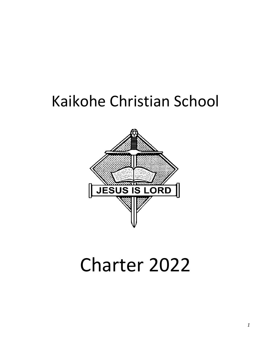# Kaikohe Christian School



# Charter 2022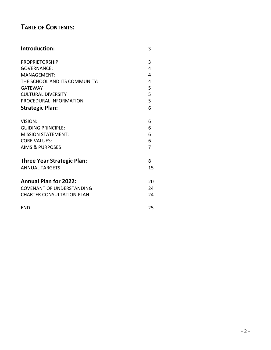# **TABLE OF CONTENTS:**

| Introduction:                     | 3  |
|-----------------------------------|----|
| <b>PROPRIETORSHIP:</b>            | 3  |
| <b>GOVERNANCE:</b>                | 4  |
| MANAGEMENT:                       | 4  |
| THE SCHOOL AND ITS COMMUNITY:     | 4  |
| <b>GATEWAY</b>                    | 5  |
| <b>CULTURAL DIVERSITY</b>         | 5  |
| PROCEDURAL INFORMATION            | 5  |
| <b>Strategic Plan:</b>            | 6  |
| VISION:                           | 6  |
| <b>GUIDING PRINCIPLE:</b>         | 6  |
| <b>MISSION STATEMENT:</b>         | 6  |
| <b>CORE VALUES:</b>               | 6  |
| <b>AIMS &amp; PURPOSES</b>        | 7  |
| <b>Three Year Strategic Plan:</b> | 8  |
| <b>ANNUAL TARGETS</b>             | 15 |
| <b>Annual Plan for 2022:</b>      | 20 |
| <b>COVENANT OF UNDERSTANDING</b>  | 24 |
| <b>CHARTER CONSULTATION PLAN</b>  | 24 |
| <b>END</b>                        | 25 |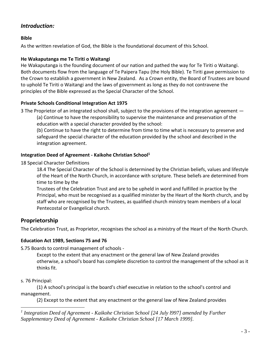# *Introduction:*

#### **Bible**

As the written revelation of God, the Bible is the foundational document of this School.

#### **He Wakaputanga me Te Tiriti o Waitangi**

He Wakaputanga is the founding document of our nation and pathed the way for Te Tiriti o Waitangi. Both documents flow from the language of Te Paipera Tapu (the Holy Bible). Te Tiriti gave permission to the Crown to establish a government in New Zealand. As a Crown entity, the Board of Trustees are bound to uphold Te Tiriti o Waitangi and the laws of government as long as they do not contravene the principles of the Bible expressed as the Special Character of the School.

#### **Private Schools Conditional Integration Act 1975**

3 The Proprietor of an integrated school shall, subject to the provisions of the integration agreement —

(a) Continue to have the responsibility to supervise the maintenance and preservation of the education with a special character provided by the school:

(b) Continue to have the right to determine from time to time what is necessary to preserve and safeguard the special character of the education provided by the school and described in the integration agreement.

#### **Integration Deed of Agreement - Kaikohe Christian School<sup>1</sup>**

18 Special Character Definitions

18.4 The Special Character of the School is determined by the Christian beliefs, values and lifestyle of the Heart of the North Church, in accordance with scripture. These beliefs are determined from time to time by the

Trustees of the Celebration Trust and are to be upheld in word and fulfilled in practice by the Principal, who must be recognised as a qualified minister by the Heart of the North church, and by staff who are recognised by the Trustees, as qualified church ministry team members of a local Pentecostal or Evangelical church.

# **Proprietorship**

The Celebration Trust, as Proprietor, recognises the school as a ministry of the Heart of the North Church.

#### **Education Act 1989, Sections 75 and 76**

S.75 Boards to control management of schools -

Except to the extent that any enactment or the general law of New Zealand provides otherwise, a school's board has complete discretion to control the management of the school as it thinks fit.

#### s. 76 Principal:

(1) A school's principal is the board's chief executive in relation to the school's control and management.

(2) Except to the extent that any enactment or the general law of New Zealand provides

<sup>1</sup> Integration Deed of Agreement - Kaikohe Christian School [24 July 1997] amended by Further *Supplementary Deed of Agreement - Kaikohe Christian School [17 March 1999].*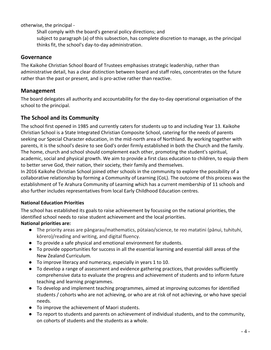otherwise, the principal -

Shall comply with the board's general policy directions; and subject to paragraph (a) of this subsection, has complete discretion to manage, as the principal thinks fit, the school's day-to-day administration.

## **Governance**

The Kaikohe Christian School Board of Trustees emphasises strategic leadership, rather than administrative detail, has a clear distinction between board and staff roles, concentrates on the future rather than the past or present, and is pro-active rather than reactive.

# **Management**

The board delegates all authority and accountability for the day-to-day operational organisation of the school to the principal.

# **The School and its Community**

The school first opened in 1985 and currently caters for students up to and including Year 13. Kaikohe Christian School is a State Integrated Christian Composite School, catering for the needs of parents seeking our Special Character education, in the mid-north area of Northland. By working together with parents, it is the school's desire to see God's order firmly established in both the Church and the family. The home, church and school should complement each other, promoting the student's spiritual, academic, social and physical growth. We aim to provide a first class education to children, to equip them to better serve God, their nation, their society, their family and themselves.

In 2016 Kaikohe Christian School joined other schools in the community to explore the possibility of a collaborative relationship by forming a Community of Learning (CoL). The outcome of this process was the establishment of Te Arahura Community of Learning which has a current membership of 11 schools and also further includes representatives from local Early Childhood Education centres.

## **National Education Priorities**

The school has established its goals to raise achievement by focussing on the national priorities, the identified school needs to raise student achievement and the local priorities.

## **National priorities are:**

- The priority areas are pāngarau/mathematics, pūtaiao/science, te reo matatini (pānui, tuhituhi, kōrero)/reading and writing, and digital fluency.
- To provide a safe physical and emotional environment for students.
- To provide opportunities for success in all the essential learning and essential skill areas of the New Zealand Curriculum.
- To improve literacy and numeracy, especially in years 1 to 10.
- To develop a range of assessment and evidence gathering practices, that provides sufficiently comprehensive data to evaluate the progress and achievement of students and to inform future teaching and learning programmes.
- To develop and implement teaching programmes, aimed at improving outcomes for identified students / cohorts who are not achieving, or who are at risk of not achieving, or who have special needs.
- To improve the achievement of Maori students.
- To report to students and parents on achievement of individual students, and to the community, on cohorts of students and the students as a whole.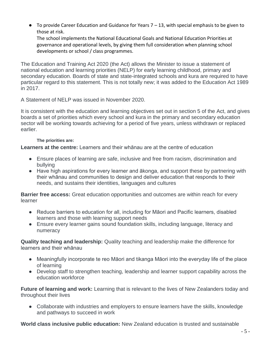$\bullet$  To provide Career Education and Guidance for Years 7 – 13, with special emphasis to be given to those at risk.

The school implements the National Educational Goals and National Education Priorities at governance and operational levels, by giving them full consideration when planning school developments or school / class programmes.

The Education and Training Act 2020 (the Act) allows the Minister to issue a statement of national education and learning priorities (NELP) for early learning childhood, primary and secondary education. Boards of state and state-integrated schools and kura are required to have particular regard to this statement. This is not totally new; it was added to the Education Act 1989 in 2017.

A Statement of NELP was issued in November 2020.

It is consistent with the education and learning objectives set out in section 5 of the Act, and gives boards a set of priorities which every school and kura in the primary and secondary education sector will be working towards achieving for a period of five years, unless withdrawn or replaced earlier.

#### **The priorities are:**

**Learners at the centre:** Learners and their whānau are at the centre of education

- Ensure places of learning are safe, inclusive and free from racism, discrimination and bullying
- Have high aspirations for every learner and ākonga, and support these by partnering with their whānau and communities to design and deliver education that responds to their needs, and sustains their identities, languages and cultures

**Barrier free access:** Great education opportunities and outcomes are within reach for every learner

- Reduce barriers to education for all, including for Māori and Pacific learners, disabled learners and those with learning support needs
- Ensure every learner gains sound foundation skills, including language, literacy and numeracy

**Quality teaching and leadership:** Quality teaching and leadership make the difference for learners and their whānau

- Meaningfully incorporate te reo Māori and tikanga Māori into the everyday life of the place of learning
- Develop staff to strengthen teaching, leadership and learner support capability across the education workforce

**Future of learning and work:** Learning that is relevant to the lives of New Zealanders today and throughout their lives

● Collaborate with industries and employers to ensure learners have the skills, knowledge and pathways to succeed in work

**World class inclusive public education:** New Zealand education is trusted and sustainable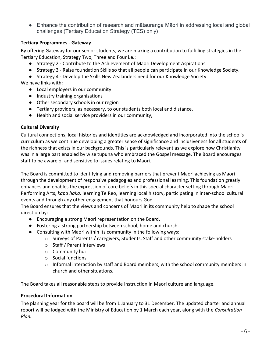● Enhance the contribution of research and mātauranga Māori in addressing local and global challenges (Tertiary Education Strategy (TES) only)

## **Tertiary Programmes - Gateway**

By offering Gateway for our senior students, we are making a contribution to fulfilling strategies in the Tertiary Education, Strategy Two, Three and Four i.e.:

- Strategy 2 Contribute to the Achievement of Maori Development Aspirations.
- Strategy 3 Raise foundation Skills so that all people can participate in our Knowledge Society.
- Strategy 4 Develop the Skills New Zealanders need for our Knowledge Society.

We have links with:

- Local employers in our community
- Industry training organisations
- Other secondary schools in our region
- Tertiary providers, as necessary, to our students both local and distance.
- Health and social service providers in our community,

#### **Cultural Diversity**

Cultural connections, local histories and identities are acknowledged and incorporated into the school's curriculum as we continue developing a greater sense of significance and inclusiveness for all students of the richness that exists in our backgrounds. This is particularly relevant as we explore how Christianity was in a large part enabled by wise tupuna who embraced the Gospel message. The Board encourages staff to be aware of and sensitive to issues relating to Maori.

The Board is committed to identifying and removing barriers that prevent Maori achieving as Maori through the development of responsive pedagogies and professional learning. This foundation greatly enhances and enables the expression of core beliefs in this special character setting through Maori Performing Arts, *kapa haka,* learning Te Reo, learning local history, participating in inter-school cultural events and through any other engagement that honours God.

The Board ensures that the views and concerns of Maori in its community help to shape the school direction by:

- Encouraging a strong Maori representation on the Board.
- Fostering a strong partnership between school, home and church.
- Consulting with Maori within its community in the following ways:
	- o Surveys of Parents / caregivers, Students, Staff and other community stake-holders
	- o Staff / Parent interviews
	- o Community hui
	- o Social functions
	- $\circ$  Informal interaction by staff and Board members, with the school community members in church and other situations.

The Board takes all reasonable steps to provide instruction in Maori culture and language.

#### **Procedural Information**

The planning year for the board will be from 1 January to 31 December. The updated charter and annual report will be lodged with the Ministry of Education by 1 March each year, along with the *Consultation Plan.*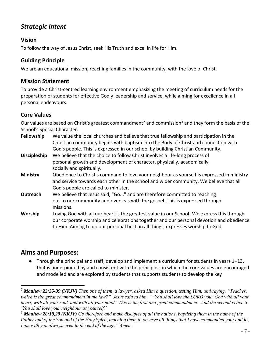# *Strategic Intent*

# **Vision**

To follow the way of Jesus Christ, seek His Truth and excel in life for Him.

# **Guiding Principle**

We are an educational mission, reaching families in the community, with the love of Christ.

# **Mission Statement**

To provide a Christ-centred learning environment emphasizing the meeting of curriculum needs for the preparation of students for effective Godly leadership and service, while aiming for excellence in all personal endeavours.

# **Core Values**

Our values are based on Christ's greatest commandment<sup>2</sup> and commission<sup>3</sup> and they form the basis of the School's Special Character.

- **Fellowship** We value the local churches and believe that true fellowship and participation in the Christian community begins with baptism into the Body of Christ and connection with God's people. This is expressed in our school by building Christian Community.
- **Discipleship** We believe that the choice to follow Christ involves a life-long process of personal growth and development of character, physically, academically, socially and spiritually.
- **Ministry** Obedience to Christ's command to love your neighbour as yourself is expressed in ministry and service towards each other in the school and wider community. We believe that all God's people are called to minister.
- **Outreach** We believe that Jesus said, "Go..." and are therefore committed to reaching out to our community and overseas with the gospel. This is expressed through missions.
- **Worship** Loving God with all our heart is the greatest value in our School! We express this through our corporate worship and celebrations together and our personal devotion and obedience to Him. Aiming to do our personal best, in all things, expresses worship to God.

# **Aims and Purposes:**

● Through the principal and staff, develop and implement a curriculum for students in years 1–13, that is underpinned by and consistent with the principles, in which the core values are encouraged and modelled and are explored by students that supports students to develop the key

*<sup>2</sup> Matthew 22:35-39 (NKJV) Then one of them, a lawyer, asked Him a question, testing Him, and saying, "Teacher, which is the great commandment in the law?" Jesus said to him, " 'You shall love the LORD your God with all your heart, with all your soul, and with all your mind.' This is the first and great commandment. And the second is like it: 'You shall love your neighbour as yourself.'*

*<sup>3</sup> Matthew 28:19,20 (NKJV) Go therefore and make disciples of all the nations, baptizing them in the name of the Father and of the Son and of the Holy Spirit, teaching them to observe all things that I have commanded you; and lo, I am with you always, even to the end of the age." Amen.*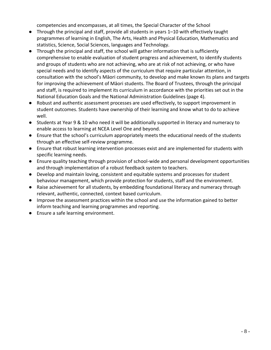competencies and encompasses, at all times, the Special Character of the School

- Through the principal and staff, provide all students in years 1–10 with effectively taught programmes of learning in English, The Arts, Health and Physical Education, Mathematics and statistics, Science, Social Sciences, languages and Technology.
- Through the principal and staff, the school will gather information that is sufficiently comprehensive to enable evaluation of student progress and achievement, to identify students and groups of students who are not achieving, who are at risk of not achieving, or who have special needs and to identify aspects of the curriculum that require particular attention, in consultation with the school's Māori community, to develop and make known its plans and targets for improving the achievement of Māori students. The Board of Trustees, through the principal and staff, is required to implement its curriculum in accordance with the priorities set out in the National Education Goals and the National Administration Guidelines (page 4).
- Robust and authentic assessment processes are used effectively, to support improvement in student outcomes. Students have ownership of their learning and know what to do to achieve well.
- Students at Year 9 & 10 who need it will be additionally supported in literacy and numeracy to enable access to learning at NCEA Level One and beyond.
- Ensure that the school's curriculum appropriately meets the educational needs of the students through an effective self-review programme.
- Ensure that robust learning intervention processes exist and are implemented for students with specific learning needs.
- Ensure quality teaching through provision of school-wide and personal development opportunities and through implementation of a robust feedback system to teachers.
- Develop and maintain loving, consistent and equitable systems and processes for student behaviour management, which provide protection for students, staff and the environment.
- Raise achievement for all students, by embedding foundational literacy and numeracy through relevant, authentic, connected, context based curriculum.
- Improve the assessment practices within the school and use the information gained to better inform teaching and learning programmes and reporting.
- Ensure a safe learning environment.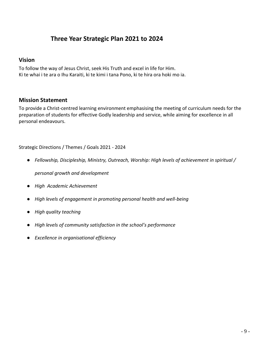# **Three Year Strategic Plan 2021 to 2024**

## **Vision**

To follow the way of Jesus Christ, seek His Truth and excel in life for Him. Ki te whai i te ara o Ihu Karaiti, ki te kimi i tana Pono, ki te hira ora hoki mo ia.

## **Mission Statement**

To provide a Christ-centred learning environment emphasising the meeting of curriculum needs for the preparation of students for effective Godly leadership and service, while aiming for excellence in all personal endeavours.

Strategic Directions / Themes / Goals 2021 - 2024

● *Fellowship, Discipleship, Ministry, Outreach, Worship: High levels of achievement in spiritual /* 

*personal growth and development*

- *High Academic Achievement*
- *High levels of engagement in promoting personal health and well-being*
- *High quality teaching*
- *High levels of community satisfaction in the school's performance*
- *Excellence in organisational efficiency*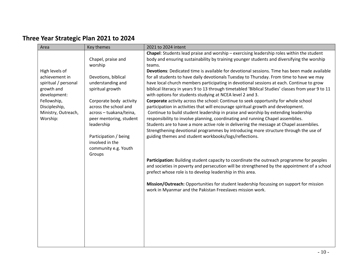# **Three Year Strategic Plan 2021 to 2024**

| Area                 | Key themes                               | 2021 to 2024 intent                                                                                                                            |
|----------------------|------------------------------------------|------------------------------------------------------------------------------------------------------------------------------------------------|
|                      |                                          | Chapel: Students lead praise and worship - exercising leadership roles within the student                                                      |
|                      | Chapel, praise and                       | body and ensuring sustainability by training younger students and diversifying the worship                                                     |
|                      | worship                                  | teams.                                                                                                                                         |
| High levels of       |                                          | Devotions: Dedicated time is available for devotional sessions. Time has been made available                                                   |
| achievement in       | Devotions, biblical                      | for all students to have daily devotionals Tuesday to Thursday. From time to have we may                                                       |
| spiritual / personal | understanding and                        | have local church members participating in devotional sessions at each. Continue to grow                                                       |
| growth and           | spiritual growth                         | biblical literacy in years 9 to 13 through timetabled 'Biblical Studies' classes from year 9 to 11                                             |
| development:         |                                          | with options for students studying at NCEA level 2 and 3.                                                                                      |
| Fellowship,          | Corporate body activity                  | Corporate activity across the school: Continue to seek opportunity for whole school                                                            |
| Discipleship,        | across the school and                    | participation in activities that will encourage spiritual growth and development.                                                              |
| Ministry, Outreach,  | across - tuakana/teina,                  | Continue to build student leadership in praise and worship by extending leadership                                                             |
| Worship:             | peer mentoring, student                  | responsibility to involve planning, coordinating and running Chapel assemblies.                                                                |
|                      | leadership                               | Students are to have a more active role in delivering the message at Chapel assemblies.                                                        |
|                      |                                          | Strengthening devotional programmes by introducing more structure through the use of<br>guiding themes and student workbooks/logs/reflections. |
|                      | Participation / being<br>involved in the |                                                                                                                                                |
|                      | community e.g. Youth                     |                                                                                                                                                |
|                      | Groups                                   |                                                                                                                                                |
|                      |                                          | Participation: Building student capacity to coordinate the outreach programme for peoples                                                      |
|                      |                                          | and societies in poverty and persecution will be strengthened by the appointment of a school                                                   |
|                      |                                          | prefect whose role is to develop leadership in this area.                                                                                      |
|                      |                                          |                                                                                                                                                |
|                      |                                          | Mission/Outreach: Opportunities for student leadership focussing on support for mission                                                        |
|                      |                                          | work in Myanmar and the Pakistan Freeslaves mission work.                                                                                      |
|                      |                                          |                                                                                                                                                |
|                      |                                          |                                                                                                                                                |
|                      |                                          |                                                                                                                                                |
|                      |                                          |                                                                                                                                                |
|                      |                                          |                                                                                                                                                |
|                      |                                          |                                                                                                                                                |
|                      |                                          |                                                                                                                                                |
|                      |                                          |                                                                                                                                                |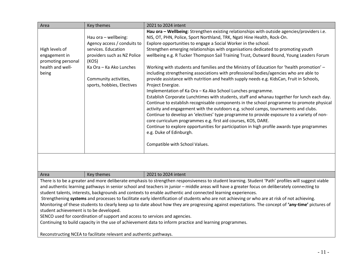| Area                                                                                                                                                                                                                                                                                                                                                                                                                                                                                                                                                                                                                                                                                                                                                                                                                                                                                                                                                              | Key themes                                                                                                                                                                                           | 2021 to 2024 intent                                                                                                                                                                                                                                                                                                                                                                                                                                                                                                                                                                                                                                                                                                                                                                                                                                                                                                                                                                                                                                                                                                                                                                                                                                                                                                                                                                                            |  |  |
|-------------------------------------------------------------------------------------------------------------------------------------------------------------------------------------------------------------------------------------------------------------------------------------------------------------------------------------------------------------------------------------------------------------------------------------------------------------------------------------------------------------------------------------------------------------------------------------------------------------------------------------------------------------------------------------------------------------------------------------------------------------------------------------------------------------------------------------------------------------------------------------------------------------------------------------------------------------------|------------------------------------------------------------------------------------------------------------------------------------------------------------------------------------------------------|----------------------------------------------------------------------------------------------------------------------------------------------------------------------------------------------------------------------------------------------------------------------------------------------------------------------------------------------------------------------------------------------------------------------------------------------------------------------------------------------------------------------------------------------------------------------------------------------------------------------------------------------------------------------------------------------------------------------------------------------------------------------------------------------------------------------------------------------------------------------------------------------------------------------------------------------------------------------------------------------------------------------------------------------------------------------------------------------------------------------------------------------------------------------------------------------------------------------------------------------------------------------------------------------------------------------------------------------------------------------------------------------------------------|--|--|
| High levels of<br>engagement in<br>promoting personal<br>health and well-<br>being                                                                                                                                                                                                                                                                                                                                                                                                                                                                                                                                                                                                                                                                                                                                                                                                                                                                                | Hau ora - wellbeing:<br>Agency access / conduits to<br>services. Education<br>providers such as NZ Police<br>(KOS)<br>Ka Ora - Ka Ako Lunches<br>Community activities,<br>sports, hobbies, Electives | Hau ora - Wellbeing: Strengthen existing relationships with outside agencies/providers i.e.<br>NIS, OT, PHN, Police, Sport Northland, TRK, Ngati Hine Health, Rock-On.<br>Explore opportunities to engage a Social Worker in the school.<br>Strengthen emerging relationships with organisations dedicated to promoting youth<br>wellbeing e.g. R Tucker Thompson Sail Training Trust, Outward Bound, Young Leaders Forum<br>Working with students and families and the Ministry of Education for 'health promotion' -<br>including strengthening associations with professional bodies/agencies who are able to<br>provide assistance with nutrition and health supply needs e.g. KidsCan, Fruit in Schools,<br>Project Energize.<br>Implementation of Ka Ora - Ka Ako School Lunches programme.<br>Establish Corporate Lunchtimes with students, staff and whanau together for lunch each day.<br>Continue to establish recognisable components in the school programme to promote physical<br>activity and engagement with the outdoors e.g. school camps, tournaments and clubs.<br>Continue to develop an 'electives' type programme to provide exposure to a variety of non-<br>core curriculum programmes e.g. first aid courses, KOS, DARE.<br>Continue to explore opportunities for participation in high profile awards type programmes<br>e.g. Duke of Edinburgh.<br>Compatible with School Values. |  |  |
|                                                                                                                                                                                                                                                                                                                                                                                                                                                                                                                                                                                                                                                                                                                                                                                                                                                                                                                                                                   |                                                                                                                                                                                                      |                                                                                                                                                                                                                                                                                                                                                                                                                                                                                                                                                                                                                                                                                                                                                                                                                                                                                                                                                                                                                                                                                                                                                                                                                                                                                                                                                                                                                |  |  |
| Area                                                                                                                                                                                                                                                                                                                                                                                                                                                                                                                                                                                                                                                                                                                                                                                                                                                                                                                                                              | Key themes                                                                                                                                                                                           | 2021 to 2024 intent                                                                                                                                                                                                                                                                                                                                                                                                                                                                                                                                                                                                                                                                                                                                                                                                                                                                                                                                                                                                                                                                                                                                                                                                                                                                                                                                                                                            |  |  |
| There is to be a greater and more deliberate emphasis to strengthen responsiveness to student learning. Student 'Path' profiles will suggest viable<br>and authentic learning pathways in senior school and teachers in junior - middle areas will have a greater focus on deliberately connecting to<br>student talents, interests, backgrounds and contexts to enable authentic and connected learning experiences.<br>Strengthening systems and processes to facilitate early identification of students who are not achieving or who are at risk of not achieving.<br>Monitoring of these students to clearly keep up to date about how they are progressing against expectations. The concept of 'any-time' pictures of<br>student achievement is to be developed.<br>SENCO used for coordination of support and access to services and agencies.<br>Continuing to build capacity in the use of achievement data to inform practice and learning programmes. |                                                                                                                                                                                                      |                                                                                                                                                                                                                                                                                                                                                                                                                                                                                                                                                                                                                                                                                                                                                                                                                                                                                                                                                                                                                                                                                                                                                                                                                                                                                                                                                                                                                |  |  |
| Reconstructing NCEA to facilitate relevant and authentic pathways.                                                                                                                                                                                                                                                                                                                                                                                                                                                                                                                                                                                                                                                                                                                                                                                                                                                                                                |                                                                                                                                                                                                      |                                                                                                                                                                                                                                                                                                                                                                                                                                                                                                                                                                                                                                                                                                                                                                                                                                                                                                                                                                                                                                                                                                                                                                                                                                                                                                                                                                                                                |  |  |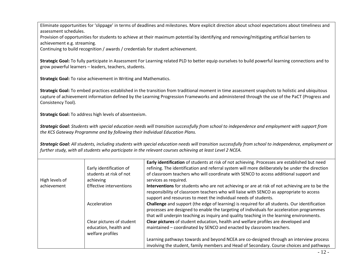Eliminate opportunities for 'slippage' in terms of deadlines and milestones. More explicit direction about school expectations about timeliness and assessment schedules.

Provision of opportunities for students to achieve at their maximum potential by identifying and removing/mitigating artificial barriers to achievement e.g. streaming.

Continuing to build recognition / awards / credentials for student achievement.

**Strategic Goal:** To fully participate in Assessment For Learning related PLD to better equip ourselves to build powerful learning connections and to grow powerful learners – leaders, teachers, students.

**Strategic Goal:** To raise achievement in Writing and Mathematics.

**Strategic Goal:** To embed practices established in the transition from traditional moment in time assessment snapshots to holistic and ubiquitous capture of achievement information defined by the Learning Progression Frameworks and administered through the use of the PaCT (Progress and Consistency Tool).

**Strategic Goal:** To address high levels of absenteeism.

*Strategic Goal: Students with special education needs will transition successfully from school to independence and employment with support from the KCS Gateway Programme and by following their Individual Education Plans.*

*Strategic Goal: All students, including students with special education needs will transition successfully from school to independence, employment or further study, with all students who participate in the relevant courses achieving at least Level 2 NCEA.*

|                |                           | Early identification of students at risk of not achieving. Processes are established but need                                                                                          |
|----------------|---------------------------|----------------------------------------------------------------------------------------------------------------------------------------------------------------------------------------|
|                | Early identification of   | refining. The identification and referral system will more deliberately be under the direction                                                                                         |
|                | students at risk of not   | of classroom teachers who will coordinate with SENCO to access additional support and                                                                                                  |
| High levels of | achieving                 | services as required.                                                                                                                                                                  |
| achievement    | Effective interventions   | Interventions for students who are not achieving or are at risk of not achieving are to be the                                                                                         |
|                |                           | responsibility of classroom teachers who will liaise with SENCO as appropriate to access                                                                                               |
|                |                           | support and resources to meet the individual needs of students.                                                                                                                        |
|                | Acceleration              | <b>Challenge</b> and support (the edge of learning) is required for all students. Our identification                                                                                   |
|                |                           | processes are designed to enable the targeting of individuals for acceleration programmes<br>that will underpin teaching as inquiry and quality teaching in the learning environments. |
|                | Clear pictures of student | Clear pictures of student education, health and welfare profiles are developed and                                                                                                     |
|                |                           |                                                                                                                                                                                        |
|                | education, health and     | maintained - coordinated by SENCO and enacted by classroom teachers.                                                                                                                   |
|                | welfare profiles          |                                                                                                                                                                                        |
|                |                           | Learning pathways towards and beyond NCEA are co-designed through an interview process                                                                                                 |
|                |                           | involving the student, family members and Head of Secondary. Course choices and pathways                                                                                               |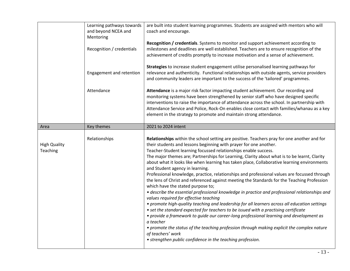|                                 | Learning pathways towards<br>and beyond NCEA and<br>Mentoring<br>Recognition / credentials | are built into student learning programmes. Students are assigned with mentors who will<br>coach and encourage.<br>Recognition / credentials. Systems to monitor and support achievement according to<br>milestones and deadlines are well established. Teachers are to ensure recognition of the<br>achievement of credits promptly to increase motivation and a sense of achievement.                                                                                                                                                                                                                                                                                                                                                                                                                                                                                                                                                                                                                                                                                                                                                                                                                                                                                                                                                |
|---------------------------------|--------------------------------------------------------------------------------------------|----------------------------------------------------------------------------------------------------------------------------------------------------------------------------------------------------------------------------------------------------------------------------------------------------------------------------------------------------------------------------------------------------------------------------------------------------------------------------------------------------------------------------------------------------------------------------------------------------------------------------------------------------------------------------------------------------------------------------------------------------------------------------------------------------------------------------------------------------------------------------------------------------------------------------------------------------------------------------------------------------------------------------------------------------------------------------------------------------------------------------------------------------------------------------------------------------------------------------------------------------------------------------------------------------------------------------------------|
|                                 | Engagement and retention                                                                   | Strategies to increase student engagement utilise personalised learning pathways for<br>relevance and authenticity. Functional relationships with outside agents, service providers<br>and community leaders are important to the success of the 'tailored' programmes.                                                                                                                                                                                                                                                                                                                                                                                                                                                                                                                                                                                                                                                                                                                                                                                                                                                                                                                                                                                                                                                                |
|                                 | Attendance                                                                                 | Attendance is a major risk factor impacting student achievement. Our recording and<br>monitoring systems have been strengthened by senior staff who have designed specific<br>interventions to raise the importance of attendance across the school. In partnership with<br>Attendance Service and Police, Rock-On enables close contact with families/whanau as a key<br>element in the strategy to promote and maintain strong attendance.                                                                                                                                                                                                                                                                                                                                                                                                                                                                                                                                                                                                                                                                                                                                                                                                                                                                                           |
| Area                            | Key themes                                                                                 | 2021 to 2024 intent                                                                                                                                                                                                                                                                                                                                                                                                                                                                                                                                                                                                                                                                                                                                                                                                                                                                                                                                                                                                                                                                                                                                                                                                                                                                                                                    |
| <b>High Quality</b><br>Teaching | Relationships                                                                              | Relationships within the school setting are positive. Teachers pray for one another and for<br>their students and lessons beginning with prayer for one another.<br>Teacher-Student learning focussed relationships enable success.<br>The major themes are; Partnerships for Learning, Clarity about what is to be learnt, Clarity<br>about what it looks like when learning has taken place, Collaborative learning environments<br>and Student agency in learning.<br>Professional knowledge, practice, relationships and professional values are focussed through<br>the lens of Christ and referenced against meeting the Standards for the Teaching Profession<br>which have the stated purpose to;<br>• describe the essential professional knowledge in practice and professional relationships and<br>values required for effective teaching<br>• promote high-quality teaching and leadership for all learners across all education settings<br>• set the standard expected for teachers to be issued with a practising certificate<br>• provide a framework to guide our career-long professional learning and development as<br>a teacher<br>• promote the status of the teaching profession through making explicit the complex nature<br>of teachers' work<br>• strengthen public confidence in the teaching profession. |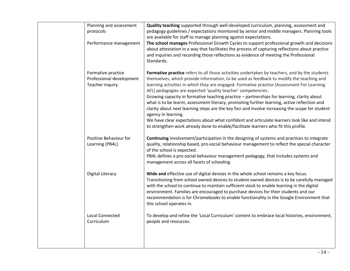| Planning and assessment<br>protocols                              | Quality teaching supported through well-developed curriculum, planning, assessment and<br>pedagogy guidelines / expectations monitored by senior and middle managers. Planning tools<br>are available for staff to manage planning against expectations.                                                                                                                                                                                                                                                                                                                                                                                                                                                                                                                                                                                                               |
|-------------------------------------------------------------------|------------------------------------------------------------------------------------------------------------------------------------------------------------------------------------------------------------------------------------------------------------------------------------------------------------------------------------------------------------------------------------------------------------------------------------------------------------------------------------------------------------------------------------------------------------------------------------------------------------------------------------------------------------------------------------------------------------------------------------------------------------------------------------------------------------------------------------------------------------------------|
| Performance management                                            | The school manages Professional Growth Cycles to support professional growth and decisions<br>about attestation in a way that facilitates the process of capturing reflections about practice<br>and inquiries and recording those reflections as evidence of meeting the Professional<br>Standards.                                                                                                                                                                                                                                                                                                                                                                                                                                                                                                                                                                   |
| Formative practice<br>Professional development<br>Teacher inquiry | Formative practice refers to all those activities undertaken by teachers, and by the students<br>themselves, which provide information, to be used as feedback to modify the teaching and<br>learning activities in which they are engaged. Formative practice (Assessment For Learning<br>AFL) pedagogies are expected 'quality teacher' competencies.<br>Growing capacity in formative teaching practice - partnerships for learning, clarity about<br>what is to be learnt, assessment literacy, promoting further learning, active reflection and<br>clarity about next learning steps are the key foci and involve increasing the scope for student<br>agency in learning.<br>We have clear expectations about what confident and articulate learners look like and intend<br>to strengthen work already done to enable/facilitate learners who fit this profile. |
| Positive Behaviour for<br>Learning (PB4L)                         | Continuing involvement/participation in the designing of systems and practices to integrate<br>quality, relationship based, pro-social behaviour management to reflect the special character<br>of the school is expected.<br>PB4L defines a pro-social behaviour management pedagogy, that includes systems and<br>management across all facets of schooling.                                                                                                                                                                                                                                                                                                                                                                                                                                                                                                         |
| <b>Digital Literacy</b>                                           | Wide and effective use of digital devices in the whole school remains a key focus.<br>Transitioning from school owned devices to student owned devices is to be carefully managed<br>with the school to continue to maintain sufficient stock to enable learning in the digital<br>environment. Families are encouraged to purchase devices for their students and our<br>recommendation is for Chromebooks to enable functionality in the Google Environment that<br>this school operates in.                                                                                                                                                                                                                                                                                                                                                                         |
| <b>Local Connected</b><br>Curriculum                              | To develop and refine the 'Local Curriculum' content to embrace local histories, environment,<br>people and resources.                                                                                                                                                                                                                                                                                                                                                                                                                                                                                                                                                                                                                                                                                                                                                 |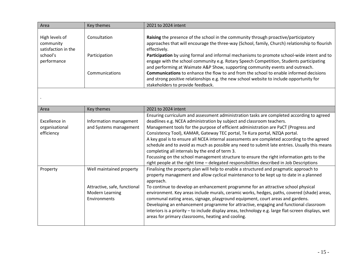| Area                                                           | Key themes                                                                                         | 2021 to 2024 intent                                                                                                                                                                                                                                                                                                                                                                                                                                                                                                                                                                                                                                                                                                                                                                |
|----------------------------------------------------------------|----------------------------------------------------------------------------------------------------|------------------------------------------------------------------------------------------------------------------------------------------------------------------------------------------------------------------------------------------------------------------------------------------------------------------------------------------------------------------------------------------------------------------------------------------------------------------------------------------------------------------------------------------------------------------------------------------------------------------------------------------------------------------------------------------------------------------------------------------------------------------------------------|
| High levels of<br>community<br>satisfaction in the<br>school's | Consultation<br>Participation                                                                      | Raising the presence of the school in the community through proactive/participatory<br>approaches that will encourage the three-way (School, family, Church) relationship to flourish<br>effectively.<br>Participation by using formal and informal mechanisms to promote school-wide intent and to                                                                                                                                                                                                                                                                                                                                                                                                                                                                                |
| performance                                                    | Communications                                                                                     | engage with the school community e.g. Rotary Speech Competition, Students participating<br>and performing at Waimate A&P Show, supporting community events and outreach.<br><b>Communications</b> to enhance the flow to and from the school to enable informed decisions<br>and strong positive relationships e.g. the new school website to include opportunity for<br>stakeholders to provide feedback.                                                                                                                                                                                                                                                                                                                                                                         |
|                                                                |                                                                                                    |                                                                                                                                                                                                                                                                                                                                                                                                                                                                                                                                                                                                                                                                                                                                                                                    |
| Area                                                           | Key themes                                                                                         | 2021 to 2024 intent                                                                                                                                                                                                                                                                                                                                                                                                                                                                                                                                                                                                                                                                                                                                                                |
| Excellence in<br>organisational<br>efficiency                  | Information management<br>and Systems management                                                   | Ensuring curriculum and assessment administration tasks are completed according to agreed<br>deadlines e.g. NCEA administration by subject and classroom teachers.<br>Management tools for the purpose of efficient administration are PaCT (Progress and<br>Consistency Tool), KAMAR, Gateway TEC portal, Te Kura portal, NZQA portal.<br>A key goal is to ensure all NCEA internal assessments are completed according to the agreed<br>schedule and to avoid as much as possible any need to submit late entries. Usually this means<br>completing all internals by the end of term 3.<br>Focussing on the school management structure to ensure the right information gets to the<br>right people at the right time - delegated responsibilities described in Job Descriptions |
| Property                                                       | Well maintained property<br>Attractive, safe, functional<br><b>Modern Learning</b><br>Environments | Finalising the property plan will help to enable a structured and pragmatic approach to<br>property management and allow cyclical maintenance to be kept up to date in a planned<br>approach.<br>To continue to develop an enhancement programme for an attractive school physical<br>environment. Key areas include murals, ceramic works, hedges, paths, covered (shade) areas,<br>communal eating areas, signage, playground equipment, court areas and gardens.<br>Developing an enhancement programme for attractive, engaging and functional classroom<br>interiors is a priority - to include display areas, technology e.g. large flat-screen displays, wet<br>areas for primary classrooms, heating and cooling.                                                          |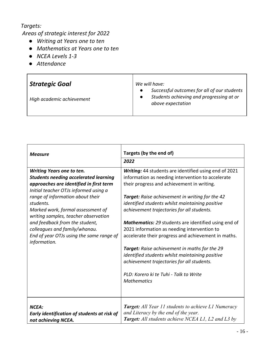# *Targets:*

 $\Gamma$ 

*Areas of strategic interest for 2022*

- *Writing at Years one to ten*
- *Mathematics at Years one to ten*
- *NCEA Levels 1-3*
- *Attendance*

| <b>Strategic Goal</b><br>High academic achievement | We will have:<br>Successful outcomes for all of our students<br>Students achieving and progressing at or<br>above expectation |
|----------------------------------------------------|-------------------------------------------------------------------------------------------------------------------------------|
|                                                    |                                                                                                                               |

| <b>Measure</b>                                                                                                                                                                                                                                                                                                                                                                                                                    | Targets (by the end of)                                                                                                                                                                                                                                                                                                                                                                                                                                                                                                                                                                                                                                                                                    |
|-----------------------------------------------------------------------------------------------------------------------------------------------------------------------------------------------------------------------------------------------------------------------------------------------------------------------------------------------------------------------------------------------------------------------------------|------------------------------------------------------------------------------------------------------------------------------------------------------------------------------------------------------------------------------------------------------------------------------------------------------------------------------------------------------------------------------------------------------------------------------------------------------------------------------------------------------------------------------------------------------------------------------------------------------------------------------------------------------------------------------------------------------------|
|                                                                                                                                                                                                                                                                                                                                                                                                                                   | 2022                                                                                                                                                                                                                                                                                                                                                                                                                                                                                                                                                                                                                                                                                                       |
| <b>Writing Years one to ten.</b><br><b>Students needing accelerated learning</b><br>approaches are identified in first term<br>Initial teacher OTJs informed using a<br>range of information about their<br>students.<br>Marked work, formal assessment of<br>writing samples, teacher observation<br>and feedback from the student,<br>colleagues and family/whanau.<br>End of year OTJs using the same range of<br>information. | Writing: 44 students are identified using end of 2021<br>information as needing intervention to accelerate<br>their progress and achievement in writing.<br>Target: Raise achievement in writing for the 42<br>identified students whilst maintaining positive<br>achievement trajectories for all students.<br><b>Mathematics:</b> 29 students are identified using end of<br>2021 information as needing intervention to<br>accelerate their progress and achievement in maths.<br><b>Target:</b> Raise achievement in maths for the 29<br>identified students whilst maintaining positive<br>achievement trajectories for all students.<br>PLD: Korero ki te Tuhi - Talk to Write<br><b>Mathematics</b> |
| NCEA:<br>Early identification of students at risk of<br>not achieving NCEA.                                                                                                                                                                                                                                                                                                                                                       | <b>Target:</b> All Year 11 students to achieve L1 Numeracy<br>and Literacy by the end of the year.<br><b>Target:</b> All students achieve NCEA L1, L2 and L3 by                                                                                                                                                                                                                                                                                                                                                                                                                                                                                                                                            |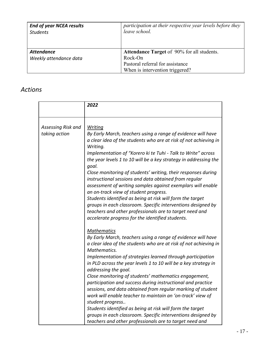| <b>End of year NCEA results</b>             | participation at their respective year levels before they                                                                           |
|---------------------------------------------|-------------------------------------------------------------------------------------------------------------------------------------|
| <b>Students</b>                             | leave school.                                                                                                                       |
| <b>Attendance</b><br>Weekly attendance data | <b>Attendance Target of 90% for all students.</b><br>Rock-On<br>Pastoral referral for assistance<br>When is intervention triggered? |

# *Actions*

|                    | 2022                                                                                                                 |
|--------------------|----------------------------------------------------------------------------------------------------------------------|
|                    |                                                                                                                      |
| Assessing Risk and | <u>Writing</u>                                                                                                       |
| taking action      | By Early March, teachers using a range of evidence will have                                                         |
|                    | a clear idea of the students who are at risk of not achieving in                                                     |
|                    | Writing.                                                                                                             |
|                    | Implementation of "Korero ki te Tuhi - Talk to Write" across                                                         |
|                    | the year levels 1 to 10 will be a key strategy in addressing the<br>goal.                                            |
|                    | Close monitoring of students' writing, their responses during                                                        |
|                    | instructional sessions and data obtained from regular                                                                |
|                    | assessment of writing samples against exemplars will enable                                                          |
|                    | an on-track view of student progress.                                                                                |
|                    | Students identified as being at risk will form the target                                                            |
|                    | groups in each classroom. Specific interventions designed by                                                         |
|                    | teachers and other professionals are to target need and                                                              |
|                    | accelerate progress for the identified students.                                                                     |
|                    | <b>Mathematics</b>                                                                                                   |
|                    | By Early March, teachers using a range of evidence will have                                                         |
|                    | a clear idea of the students who are at risk of not achieving in                                                     |
|                    | Mathematics.                                                                                                         |
|                    | Implementation of strategies learned through participation                                                           |
|                    | in PLD across the year levels 1 to 10 will be a key strategy in                                                      |
|                    | addressing the goal.                                                                                                 |
|                    | Close monitoring of students' mathematics engagement,<br>participation and success during instructional and practice |
|                    | sessions, and data obtained from regular marking of student                                                          |
|                    | work will enable teacher to maintain an 'on-track' view of                                                           |
|                    | student progress                                                                                                     |
|                    | Students identified as being at risk will form the target                                                            |
|                    | groups in each classroom. Specific interventions designed by                                                         |
|                    | teachers and other professionals are to target need and                                                              |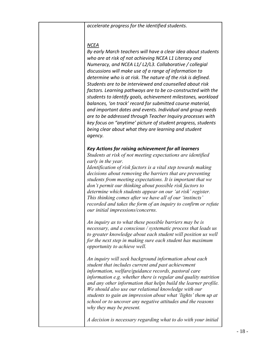*accelerate progress for the identified students.*

#### *NCEA*

*By early March teachers will have a clear idea about students who are at risk of not achieving NCEA L1 Literacy and Numeracy, and NCEA L1/ L2/L3. Collaborative / collegial discussions will make use of a range of information to determine who is at risk. The nature of the risk is defined. Students are to be interviewed and counselled about risk factors. Learning pathways are to be co-constructed with the students to identify goals, achievement milestones, workload balances, 'on track' record for submitted course material, and important dates and events. Individual and group needs are to be addressed through Teacher Inquiry processes with key focus on "anytime' picture of student progress, students being clear about what they are learning and student agency.*

#### *Key Actions for raising achievement for all learners*

*Students at risk of not meeting expectations are identified early in the year.* 

*Identification of risk factors is a vital step towards making decisions about removing the barriers that are preventing students from meeting expectations. It is important that we don't permit our thinking about possible risk factors to determine which students appear on our 'at risk' register. This thinking comes after we have all of our 'instincts' recorded and takes the form of an inquiry to confirm or refute our initial impressions/concerns.*

*An inquiry as to what these possible barriers may be is necessary, and a conscious / systematic process that leads us to greater knowledge about each student will position us well for the next step in making sure each student has maximum opportunity to achieve well.* 

*An inquiry will seek background information about each student that includes current and past achievement information, welfare/guidance records, pastoral care information e.g. whether there is regular and quality nutrition and any other information that helps build the learner profile. We should also use our relational knowledge with our students to gain an impression about what 'lights' them up at school or to uncover any negative attitudes and the reasons why they may be present.*

*A decision is necessary regarding what to do with your initial*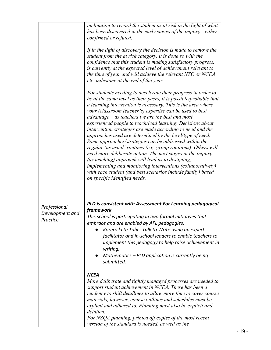|                                             | inclination to record the student as at risk in the light of what<br>has been discovered in the early stages of the inquiryeither<br>confirmed or refuted.<br>If in the light of discovery the decision is made to remove the<br>student from the at risk category, it is done so with the<br>confidence that this student is making satisfactory progress,<br>is currently at the expected level of achievement relevant to<br>the time of year and will achieve the relevant NZC or NCEA<br>etc milestone at the end of the year.<br>For students needing to accelerate their progress in order to<br>be at the same level as their peers, it is possible/probable that<br>a learning intervention is necessary. This is the area where |
|---------------------------------------------|-------------------------------------------------------------------------------------------------------------------------------------------------------------------------------------------------------------------------------------------------------------------------------------------------------------------------------------------------------------------------------------------------------------------------------------------------------------------------------------------------------------------------------------------------------------------------------------------------------------------------------------------------------------------------------------------------------------------------------------------|
|                                             | your (classroom teacher's) expertise can be used to best<br>$advantage - as teachers we are the best and most$<br>experienced people to teach/lead learning. Decisions about<br>intervention strategies are made according to need and the<br>approaches used are determined by the level/type of need.<br>Some approaches/strategies can be addressed within the<br>regular 'as usual' routines (e.g. group rotations). Others will<br>need more deliberate action. The next stages in the inquiry<br>(as teaching) approach will lead us to designing,<br><i>implementing and monitoring interventions (collaboratively)</i><br>with each student (and best scenarios include family) based<br>on specific identified needs.            |
| Professional<br>Development and<br>Practice | PLD is consistent with Assessment For Learning pedagogical<br>framework.<br>This school is participating in two formal initiatives that<br>embrace and are enabled by AFL pedagogies.<br>Korero ki te Tuhi - Talk to Write using an expert<br>facilitator and in-school leaders to enable teachers to<br>implement this pedagogy to help raise achievement in<br>writing.<br>Mathematics - PLD application is currently being<br>submitted.                                                                                                                                                                                                                                                                                               |
|                                             | <b>NCEA</b><br>More deliberate and tightly managed processes are needed to<br>support student achievement in NCEA. There has been a<br>tendency to shift deadlines to allow more time to cover course<br>materials, however, course outlines and schedules must be<br>explicit and adhered to. Planning must also be explicit and<br>detailed.<br>For NZQA planning, printed off copies of the most recent<br>version of the standard is needed, as well as the                                                                                                                                                                                                                                                                           |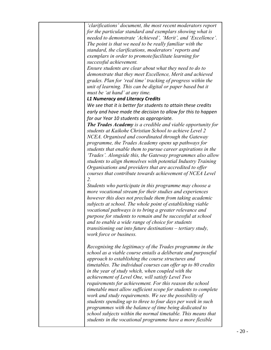| 'clarifications' document, the most recent moderators report       |
|--------------------------------------------------------------------|
| for the particular standard and exemplars showing what is          |
| needed to demonstrate 'Achieved', 'Merit', and 'Excellence'.       |
| The point is that we need to be really familiar with the           |
| standard, the clarifications, moderators' reports and              |
| exemplars in order to promote/facilitate learning for              |
| successful achievement.                                            |
| Ensure students are clear about what they need to do to            |
| demonstrate that they meet Excellence, Merit and achieved          |
| grades. Plan for 'real time' tracking of progress within the       |
| unit of learning. This can be digital or paper based but it        |
| must be 'at hand' at any time.                                     |
| <b>L1 Numeracy and Literacy Credits</b>                            |
| We see that it is better for students to attain these credits      |
| early and have made the decision to allow for this to happen       |
| for our Year 10 students as appropriate.                           |
| <b>The Trades Academy</b> is a credible and viable opportunity for |
| students at Kaikohe Christian School to achieve Level 2            |
| NCEA. Organised and coordinated through the Gateway                |
| programme, the Trades Academy opens up pathways for                |
| students that enable them to pursue career aspirations in the      |
| 'Trades'. Alongside this, the Gateway programmes also allow        |
| students to align themselves with potential Industry Training      |
| Organisations and providers that are accredited to offer           |
| courses that contribute towards achievement of NCEA Level          |
| 2.                                                                 |
| Students who participate in this programme may choose a            |
| more vocational stream for their studies and experiences           |
| however this does not preclude them from taking academic           |
| subjects at school. The whole point of establishing viable         |
| vocational pathways is to bring a greater relevance and            |
| purpose for students to remain and be successful at school         |
| and to enable a wide range of choice for students                  |
| transitioning out into future destinations – tertiary study,       |
| work force or business.                                            |
|                                                                    |
| Recognising the legitimacy of the Trades programme in the          |
| school as a viable course entails a deliberate and purposeful      |
| approach to establishing the course structures and                 |
| timetables. The individual courses can offer up to 80 credits      |
| in the year of study which, when coupled with the                  |
| achievement of Level One, will satisfy Level Two                   |
| requirements for achievement. For this reason the school           |
| timetable must allow sufficient scope for students to complete     |
| work and study requirements. We see the possibility of             |
| students spending up to three to four days per week in such        |
| programmes with the balance of time being dedicated to             |
| school subjects within the normal timetable. This means that       |
| students in the vocational programme have a more flexible          |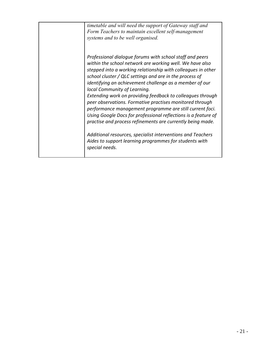*timetable and will need the support of Gateway staff and Form Teachers to maintain excellent self-management systems and to be well organised. Professional dialogue forums with school staff and peers within the school network are working well. We have also stepped into a working relationship with colleagues in other school cluster / QLC settings and are in the process of identifying an achievement challenge as a member of our local Community of Learning. Extending work on providing feedback to colleagues through peer observations. Formative practises monitored through performance management programme are still current foci. Using Google Docs for professional reflections is a feature of practise and process refinements are currently being made. Additional resources, specialist interventions and Teachers Aides to support learning programmes for students with special needs.*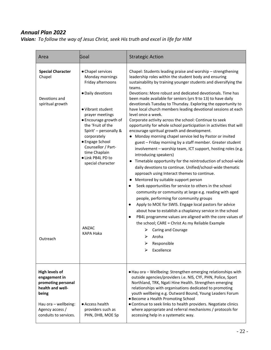# *Annual Plan 2022*

*Vision: To follow the way of Jesus Christ, seek His truth and excel in life for HIM*

| Area                                                                                                                                                          | Goal                                                                                                                                                                                                                                                                                                                                    | <b>Strategic Action</b>                                                                                                                                                                                                                                                                                                                                                                                                                                                                                                                                                                                                                                                                                                                                                                                                                                                                                                                                                                                                                                                                                                                                                                                                                                                                                                                                                                                                                                                                                                                                                                                     |
|---------------------------------------------------------------------------------------------------------------------------------------------------------------|-----------------------------------------------------------------------------------------------------------------------------------------------------------------------------------------------------------------------------------------------------------------------------------------------------------------------------------------|-------------------------------------------------------------------------------------------------------------------------------------------------------------------------------------------------------------------------------------------------------------------------------------------------------------------------------------------------------------------------------------------------------------------------------------------------------------------------------------------------------------------------------------------------------------------------------------------------------------------------------------------------------------------------------------------------------------------------------------------------------------------------------------------------------------------------------------------------------------------------------------------------------------------------------------------------------------------------------------------------------------------------------------------------------------------------------------------------------------------------------------------------------------------------------------------------------------------------------------------------------------------------------------------------------------------------------------------------------------------------------------------------------------------------------------------------------------------------------------------------------------------------------------------------------------------------------------------------------------|
| <b>Special Character</b><br>Chapel<br>Devotions and<br>spiritual growth<br>Outreach                                                                           | • Chapel services<br>Monday mornings<br>Friday afternoons<br>· Daily devotions<br>• Vibrant student<br>prayer meetings<br>• Encourage growth of<br>the 'Fruit of the<br>Spirit' - personally &<br>corporately<br>● Engage School<br>Counsellor / Part-<br>time Chaplain<br>· Link PB4L PD to<br>special character<br>ANZAC<br>KAPA Haka | Chapel: Students leading praise and worship - strengthening<br>leadership roles within the student body and ensuring<br>sustainability by training younger students and diversifying the<br>teams.<br>Devotions: More robust and dedicated devotionals. Time has<br>been made available for seniors (yrs 9 to 13) to have daily<br>devotionals Tuesday to Thursday. Exploring the opportunity to<br>have local church members leading devotional sessions at each<br>level once a week.<br>Corporate activity across the school: Continue to seek<br>opportunity for whole school participation in activities that will<br>encourage spiritual growth and development.<br>• Monday morning chapel service led by Pastor or invited<br>guest - Friday morning by a staff member. Greater student<br>involvement - worship team, ICT support, hosting roles (e.g.<br>introducing speakers)<br>Timetable opportunity for the reintroduction of school-wide<br>daily devotions to continue. Unified/school-wide thematic<br>approach using Interact themes to continue.<br>Mentored by suitable support person<br>Seek opportunities for service to others in the school<br>community or community at large e.g. reading with aged<br>people, performing for community groups<br>Apply to MOE for SWIS. Engage local pastors for advice<br>$\bullet$<br>about how to establish a chaplaincy service in the school<br>PB4L programme values are aligned with the core values of<br>the school; CARE = Christ As my Reliable Example<br><b>Caring and Courage</b><br>Aroha<br>⋗<br>Responsible<br>Excellence<br>↘ |
| <b>High levels of</b><br>engagement in<br>promoting personal<br>health and well-<br>being<br>Hau ora - wellbeing:<br>Agency access /<br>conduits to services. | • Access health<br>providers such as<br>PHN, DHB, MOE Sp                                                                                                                                                                                                                                                                                | • Hau ora - Wellbeing: Strengthen emerging relationships with<br>outside agencies/providers i.e. NIS, CYF, PHN, Police, Sport<br>Northland, TRK, Ngati Hine Health. Strengthen emerging<br>relationships with organisations dedicated to promoting<br>youth wellbeing e.g. Outward Bound, Young Leaders Forum<br>• Become a Health Promoting School<br>• Continue to seek links to health providers. Negotiate clinics<br>where appropriate and referral mechanisms / protocols for<br>accessing help in a systematic way.                                                                                                                                                                                                                                                                                                                                                                                                                                                                                                                                                                                                                                                                                                                                                                                                                                                                                                                                                                                                                                                                                  |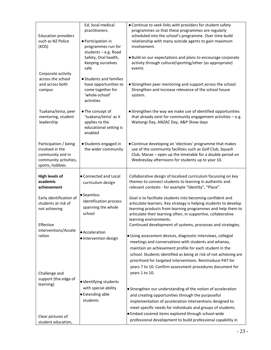| <b>Education providers</b><br>such as NZ Police<br>(KOS)                                                 | Ed, local medical<br>practitioners.<br>· Participation in<br>programmes run for<br>students - e.g. Road<br>Safety, Oral health,<br>Keeping ourselves | • Continue to seek links with providers for student safety<br>programmes so that these programmes are regularly<br>scheduled into the school's programme. Over time build<br>relationship with many outside agents to gain maximum<br>involvement.<br>· Build on our expectations and plans to encourage corporate<br>activity through cultural/sporting/other (as appropriate)                                                                 |
|----------------------------------------------------------------------------------------------------------|------------------------------------------------------------------------------------------------------------------------------------------------------|-------------------------------------------------------------------------------------------------------------------------------------------------------------------------------------------------------------------------------------------------------------------------------------------------------------------------------------------------------------------------------------------------------------------------------------------------|
| Corporate activity<br>across the school<br>and across both<br>campus                                     | safe<br>• Students and families<br>have opportunities to<br>come together for<br>'whole-school'<br>activities                                        | events<br>• Strengthen peer mentoring and support across the school.<br>Strengthen and increase relevance of the school house<br>system.                                                                                                                                                                                                                                                                                                        |
| Tuakana/teina, peer<br>mentoring, student<br>leadership                                                  | • The concept of<br>'tuakana/teina' as it<br>applies to the<br>educational setting is<br>enabled                                                     | • Strengthen the way we make use of identified opportunities<br>that already exist for community engagement activities $-$ e.g.<br>Waitangi Day, ANZAC Day, A&P Show days                                                                                                                                                                                                                                                                       |
| Participation / being<br>involved in the<br>community and in<br>community activities,<br>sports, hobbies | • Students engaged in<br>the wider community                                                                                                         | • Continue developing an 'electives' programme that makes<br>use of the community facilities such as Golf Club, Squash<br>Club, Marae - open up the timetable for a double period on<br>Wednesday afternoons for students up to year 10.                                                                                                                                                                                                        |
| High levels of<br>academic<br>achievement                                                                | • Connected and Local<br>curriculum design                                                                                                           | Collaborative design of localised curriculum focussing on key<br>themes to connect students to learning in authentic and<br>relevant contexts - for example "Identity", "Place".                                                                                                                                                                                                                                                                |
| Early identification of<br>students at risk of<br>not achieving                                          | • Seamless<br>identification process<br>spanning the whole<br>school                                                                                 | Goal is to facilitate students into becoming confident and<br>articulate learners. Key strategy is helping students to develop<br>learning products from learning programmes and help them to<br>articulate their learning often, in supportive, collaborative<br>learning environments.                                                                                                                                                        |
| Effective<br>interventions/Accele<br>ration                                                              | • Acceleration<br>· Intervention design                                                                                                              | Continued development of systems, processes and strategies.<br>· Using assessment devices, diagnostic interviews, collegial<br>meetings and conversations with students and whanau,<br>maintain an achievement profile for each student in the<br>school. Students identified as being at risk of not achieving are<br>prioritised for targeted interventions. Reintroduce PAT for<br>years 7 to 10. Confirm assessment procedures document for |
| Challenge and<br>support (the edge of<br>learning)<br>Clear pictures of                                  | · Identifying students<br>with special ability<br><b>•</b> Extending able<br>students                                                                | years 1 to 10.<br>• Strengthen our understanding of the notion of acceleration<br>and creating opportunities through the purposeful<br>implementation of acceleration interventions designed to<br>meet specific needs for individuals and groups of students.<br>. Embed covered items explored through school-wide<br>professional development to build professional capability in                                                            |
| student education,                                                                                       |                                                                                                                                                      |                                                                                                                                                                                                                                                                                                                                                                                                                                                 |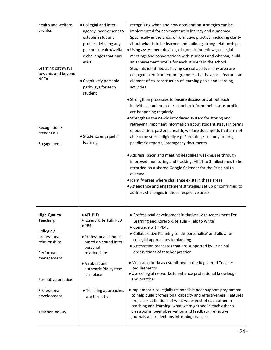| health and welfare  | · Collegial and inter-  | recognising when and how acceleration strategies can be            |
|---------------------|-------------------------|--------------------------------------------------------------------|
| profiles            | agency involvement to   | implemented for achievement in literacy and numeracy.              |
|                     | establish student       | Specifically in the areas of formative practice, including clarity |
|                     | profiles detailing any  | about what is to be learned and building strong relationships.     |
|                     | pastoral/health/welfar  | · Using assessment devices, diagnostic interviews, collegial       |
|                     | e challenges that may   | meetings and conversations with students and whanau, build         |
|                     |                         |                                                                    |
|                     | exist                   | an achievement profile for each student in the school.             |
| Learning pathways   |                         | Students identified as having special ability in any area are      |
| towards and beyond  |                         | engaged in enrichment programmes that have as a feature, an        |
| <b>NCEA</b>         | · Cognitively portable  | element of co-construction of learning goals and learning          |
|                     | pathways for each       | activities                                                         |
|                     | student                 |                                                                    |
|                     |                         | • Strengthen processes to ensure discussions about each            |
|                     |                         | individual student in the school to inform their status profile    |
|                     |                         |                                                                    |
|                     |                         | are happening regularly.                                           |
|                     |                         | • Strengthen the newly introduced system for storing and           |
| Recognition /       |                         | retrieving important information about student status in terms     |
| credentials         |                         | of education, pastoral, health, welfare documents that are not     |
|                     | · Students engaged in   | able to be stored digitally e.g. Parenting / custody orders,       |
| Engagement          | learning                | paediatric reports, interagency documents                          |
|                     |                         |                                                                    |
|                     |                         | . Address 'pace' and meeting deadlines weaknesses through          |
|                     |                         |                                                                    |
|                     |                         | improved monitoring and tracking. All L1 to 3 milestones to be     |
|                     |                         | recorded on a shared Google Calendar for the Principal to          |
|                     |                         | oversee.                                                           |
|                     |                         | · Identify areas where challenge exists in these areas             |
|                     |                         | • Attendance and engagement strategies set up or confirmed to      |
|                     |                         | address challenges in those respective areas.                      |
|                     |                         |                                                                    |
|                     |                         |                                                                    |
| <b>High Quality</b> | ● AFL PLD               | • Professional development initiatives with Assessment For         |
| <b>Teaching</b>     | ● Korero ki te Tuhi PLD | Learning and Korero ki te Tuhi - Talk to Write'                    |
|                     | $\bullet$ PB4L          | • Continue with PB4L                                               |
| Collegial/          |                         | • Collaborative Planning to 'de-personalise' and allow for         |
| professional        | • Professional conduct  |                                                                    |
| relationships       | based on sound inter-   | collegial approaches to planning                                   |
|                     | personal                | • Attestation processes that are supported by Principal            |
| Performance         | relationships           | observations of teacher practice.                                  |
| management          |                         |                                                                    |
|                     | • A robust and          | • Meet all criteria as established in the Registered Teacher       |
|                     | authentic PM system     | Requirements                                                       |
|                     | is in place             | · Use collegial networks to enhance professional knowledge         |
| Formative practice  |                         | and practice                                                       |
|                     |                         | • Implement a collegially responsible peer support programme       |
| Professional        |                         |                                                                    |
| development         | • Teaching approaches   |                                                                    |
|                     | are formative           | to help build professional capacity and effectiveness. Features    |
|                     |                         | are; clear definitions of what we expect of each other in          |
|                     |                         | teaching and learning, what we might see in each other's           |
| Teacher inquiry     |                         | classrooms, peer observation and feedback, reflective              |
|                     |                         | journals and reflections informing practice.                       |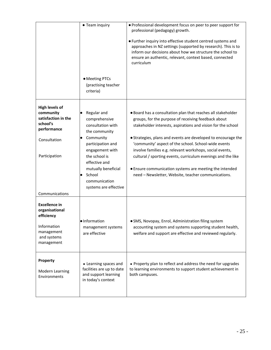|                                                                                                                                         | • Team inquiry                                                                                                                                                                                                                                    | • Professional development focus on peer to peer support for<br>professional (pedagogy) growth.                                                                                                                                                                                                                                                                                                                                                                                                                                                            |
|-----------------------------------------------------------------------------------------------------------------------------------------|---------------------------------------------------------------------------------------------------------------------------------------------------------------------------------------------------------------------------------------------------|------------------------------------------------------------------------------------------------------------------------------------------------------------------------------------------------------------------------------------------------------------------------------------------------------------------------------------------------------------------------------------------------------------------------------------------------------------------------------------------------------------------------------------------------------------|
|                                                                                                                                         |                                                                                                                                                                                                                                                   | • Further inquiry into effective student centred systems and<br>approaches in NZ settings (supported by research). This is to<br>inform our decisions about how we structure the school to<br>ensure an authentic, relevant, context based, connected<br>curriculum                                                                                                                                                                                                                                                                                        |
|                                                                                                                                         | • Meeting PTCs<br>(practising teacher<br>criteria)                                                                                                                                                                                                |                                                                                                                                                                                                                                                                                                                                                                                                                                                                                                                                                            |
| <b>High levels of</b><br>community<br>satisfaction in the<br>school's<br>performance<br>Consultation<br>Participation<br>Communications | Regular and<br>$\bullet$<br>comprehensive<br>consultation with<br>the community<br>Community<br>participation and<br>engagement with<br>the school is<br>effective and<br>mutually beneficial<br>School<br>communication<br>systems are effective | . Board has a consultation plan that reaches all stakeholder<br>groups, for the purpose of receiving feedback about<br>stakeholder interests, aspirations and vision for the school<br>• Strategies, plans and events are developed to encourage the<br>'community' aspect of the school. School-wide events<br>involve families e.g. relevant workshops, social events,<br>cultural / sporting events, curriculum evenings and the like<br>• Ensure communication systems are meeting the intended<br>need - Newsletter, Website, teacher communications. |
| <b>Excellence in</b><br>organisational<br>efficiency<br>Information<br>management<br>and systems<br>management                          | · Information<br>management systems<br>are effective                                                                                                                                                                                              | · SMS, Novopay, Enrol, Administration filing system<br>accounting system and systems supporting student health,<br>welfare and support are effective and reviewed regularly.                                                                                                                                                                                                                                                                                                                                                                               |
| Property<br>Modern Learning<br>Environments                                                                                             | • Learning spaces and<br>facilities are up to date<br>and support learning<br>in today's context                                                                                                                                                  | • Property plan to reflect and address the need for upgrades<br>to learning environments to support student achievement in<br>both campuses.                                                                                                                                                                                                                                                                                                                                                                                                               |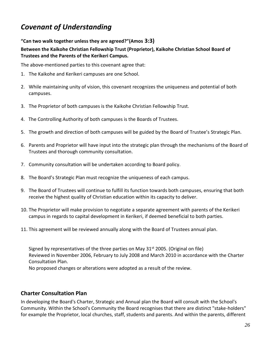# *Covenant of Understanding*

#### **"Can two walk together unless they are agreed?"(Amos 3:3)**

### **Between the Kaikohe Christian Fellowship Trust (Proprietor), Kaikohe Christian School Board of Trustees and the Parents of the Kerikeri Campus.**

The above-mentioned parties to this covenant agree that:

- 1. The Kaikohe and Kerikeri campuses are one School.
- 2. While maintaining unity of vision, this covenant recognizes the uniqueness and potential of both campuses.
- 3. The Proprietor of both campuses is the Kaikohe Christian Fellowship Trust.
- 4. The Controlling Authority of both campuses is the Boards of Trustees.
- 5. The growth and direction of both campuses will be guided by the Board of Trustee's Strategic Plan.
- 6. Parents and Proprietor will have input into the strategic plan through the mechanisms of the Board of Trustees and thorough community consultation.
- 7. Community consultation will be undertaken according to Board policy.
- 8. The Board's Strategic Plan must recognize the uniqueness of each campus.
- 9. The Board of Trustees will continue to fulfill its function towards both campuses, ensuring that both receive the highest quality of Christian education within its capacity to deliver.
- 10. The Proprietor will make provision to negotiate a separate agreement with parents of the Kerikeri campus in regards to capital development in Kerikeri, if deemed beneficial to both parties.
- 11. This agreement will be reviewed annually along with the Board of Trustees annual plan.

Signed by representatives of the three parties on May  $31<sup>st</sup>$  2005. (Original on file) Reviewed in November 2006, February to July 2008 and March 2010 in accordance with the Charter Consultation Plan. No proposed changes or alterations were adopted as a result of the review.

# **Charter Consultation Plan**

In developing the Board's Charter, Strategic and Annual plan the Board will consult with the School's Community. Within the School's Community the Board recognises that there are distinct "stake-holders" for example the Proprietor, local churches, staff, students and parents. And within the parents, different